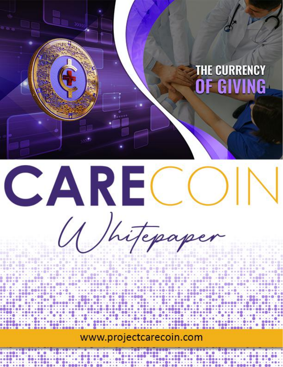# **THE CURRENCY** OF GIVING



U Shitepaper

CARECO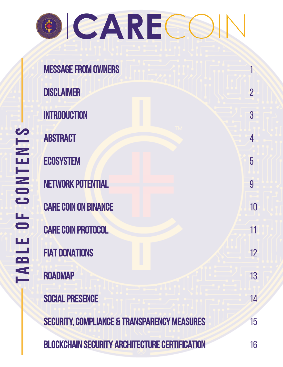| <b>ICARE</b><br>¢ |                             |                |
|-------------------|-----------------------------|----------------|
|                   | <b>MESSAGE FROM OWNERS</b>  |                |
|                   | <b>DISCLAIMER</b>           | $\overline{2}$ |
|                   | <b>INTRODUCTION</b>         | 3              |
|                   | <b>ABSTRACT</b>             | 4              |
|                   | <b>ECOSYSTEM</b>            | 5              |
|                   | <b>NETWORK POTENTIAL</b>    | 9              |
|                   | <b>CARE COIN ON BINANCE</b> | 10             |
|                   | <b>CARE COIN PROTOCOL</b>   | 11             |
|                   | <b>FIAT DONATIONS</b>       | 12             |
|                   | <b>ROADMAP</b>              | 13             |

SOCIAL PRESENCE 14

SECURITY, COMPLIANCE & TRANSPARENCY MEASURES 15

**BLOCKCHAIN SECURITY ARCHITECTURE CERTIFICATION** 16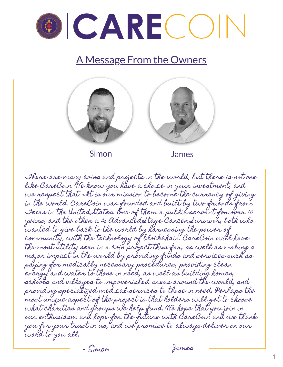

### A Message From the Owners



Simon James

There are many coins and projects in the world, but there is not one like CareCoin. We know you have a choice in your investment, and we respect that. It is our mission to become the currency of giving in the world. CareCoin was founded and built by two friends from Texas in the United States. One of them a public servant for over 10 years, and the other a 3x Advanced-Stage Cancer Survivor; both who wanted to give back to the world by harnessing the power of community, with the technology of blockchain. CareCoin will have the most utility seen in a coin project thus far, as well as making a major impact in the world by providing funds and services such as paying for medically necessary procedures, providing clean energy and water to those in need, as well as building homes, schools and villages to impoverished areas around the world, and providing specialized medical services to those in need. Perhaps the most unique aspect of the project is that holders will get to choose what charities and groups we help fund. We hope that you join in our enthusiasm and hope for the future with CareCoin and we thank you for your trust in us, and we promise to always deliver on our word to you all.

- Simon - James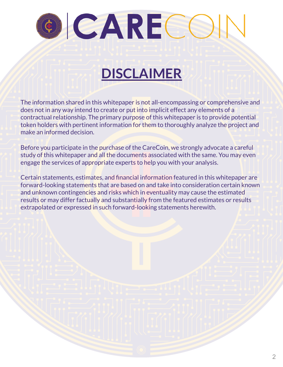

## **DISCLAIMER**

The information shared in this whitepaper is not all-encompassing or comprehensive and does not in any way intend to create or put into implicit effect any elements of a contractual relationship. The primary purpose of this whitepaper is to provide potential token holders with pertinent information for them to thoroughly analyze the project and make an informed decision.

Before you participate in the purchase of the CareCoin, we strongly advocate a careful study of this whitepaper and all the documents associated with the same. You may even engage the services of appropriate experts to help you with your analysis.

Certain statements, estimates, and financial information featured in this whitepaper are forward-looking statements that are based on and take into consideration certain known and unknown contingencies and risks which in eventuality may cause the estimated results or may differ factually and substantially from the featured estimates or results extrapolated or expressed in such forward-looking statements herewith.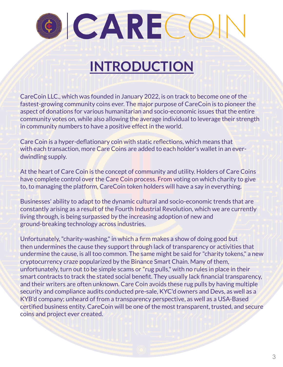# **INTRODUCTION**

CareCoin LLC., which was founded in January 2022, is on track to become one of the fastest-growing community coins ever. The major purpose of CareCoin is to pioneer the aspect of donations for various humanitarian and socio-economic issues that the entire community votes on, while also allowing the average individual to leverage their strength in community numbers to have a positive effect in the world.

Care Coin is a hyper-deflationary coin with static reflections, which means that with each transaction, more Care Coins are added to each holder's wallet in an everdwindling supply.

At the heart of Care Coin is the concept of community and utility. Holders of Care Coins have complete control over the Care Coin process. From voting on which charity to give to, to managing the platform, CareCoin token holders will have a say in everything.

Businesses' ability to adapt to the dynamic cultural and socio-economic trends that are constantly arising as a result of the Fourth Industrial Revolution, which we are currently living through, is being surpassed by the increasing adoption of new and ground-breaking technology across industries.

Unfortunately,"charity-washing,"in which a firm makes a show of doing good but then undermines the cause they support through lack of transparency or activities that undermine the cause, is all too common. The same might be said for "charity tokens," a new cryptocurrency craze popularized by the Binance Smart Chain. Many of them, unfortunately, turn out to be simple scams or "rug pulls," with no rules in place in their smart contracts to track the stated social benefit. They usually lack financial transparency, and their writers are often unknown. Care Coin avoids these rug pulls by having multiple security and compliance audits conducted pre-sale, KYC'd owners and Devs, as well as a KYB'd company; unheard of from a transparency perspective, as well as a USA-Based certified business entity. CareCoin will be one of the most transparent, trusted, and secure coins and project ever created.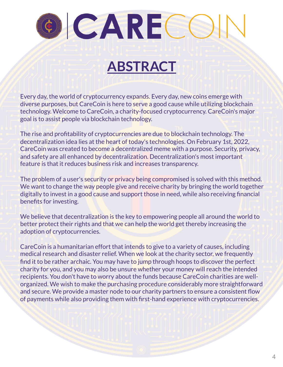# **ABSTRACT**

Every day, the world of cryptocurrency expands. Every day, new coins emerge with diverse purposes, but CareCoin is here to serve a good cause while utilizing blockchain technology. Welcome to CareCoin, a charity-focused cryptocurrency. CareCoin's major goal is to assist people via blockchain technology.

The rise and profitability of cryptocurrencies are due to blockchain technology. The decentralization idea lies at the heart of today's technologies. On February 1st, 2022, CareCoin was created to become a decentralized meme with a purpose. Security, privacy, and safety are all enhanced by decentralization. Decentralization's most important feature is that it reduces business risk and increases transparency.

The problem of a user's security or privacy being compromised is solved with this method. We want to change the way people give and receive charity by bringing the world together digitally to invest in a good cause and support those in need, while also receiving financial benefits for investing.

We believe that decentralization is the key to empowering people all around the world to better protect their rights and that we can help the world get thereby increasing the adoption of cryptocurrencies.

CareCoin is a humanitarian effort that intends to give to a variety of causes, including medical research and disaster relief. When we look at the charity sector, we frequently find it to be rather archaic. You may have to jump through hoops to discover the perfect charity for you, and you may also be unsure whether your money will reach the intended recipients. You don't have to worry about the funds because CareCoin charities are wellorganized. We wish to make the purchasing procedure considerably more straightforward and secure. We provide a master node to our charity partners to ensure a consistent flow of payments while also providing them with first-hand experience with cryptocurrencies.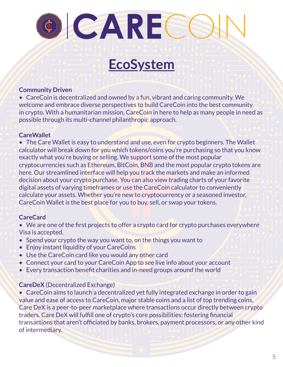## **EcoSystem**

#### **Community Driven**

• CareCoin is decentralized and owned by a fun, vibrant and caring community. We welcome and embrace diverse perspectives to build CareCoin into the best community in crypto. With a humanitarian mission, CareCoin in here to help as many people in need as possible through its multi-channel philanthropic approach.

#### **CareWallet**

• The Care Wallet is easy to understand and use, even for crypto beginners. The Wallet calculator will break down for you which tokens/coins you're purchasing so that you know exactly what you're buying or selling. We support some of the most popular cryptocurrencies such as Ethereum, BitCoin, BNB and the most popular crypto tokens are here. Our streamlined interface will help you track the markets and make an informed decision about your crypto purchase. You can also view trading charts of your favorite digital assets of varying timeframes or use the CareCoin calculator to conveniently calculate your assets. Whether you're new to cryptocurrency or a seasoned investor, CareCoin Wallet is the best place for you to buy, sell, or swap your tokens.

#### **CareCard**

- We are one of the first projects to offer a crypto card for crypto purchases everywhere Visa is accepted.
- Spend your crypto the way you want to, on the things you want to
- Enjoy instant liquidity of your CareCoins
- Use the CareCoin card like you would any other card
- Connect your card to your CareCoin App to see live info about your account
- Every transaction benefit charities and in-need groups around the world

#### **CareDeX** (Decentralized Exchange)

• CareCoin aims to launch a decentralized yet fully integrated exchange in order to gain value and ease of access to CareCoin, major stable coins and a list of top trending coins. Care DeX is a peer-to-peer marketplace where transactions occur directly between crypto traders. Care DeX will fulfill one of crypto's core possibilities: fostering financial transactions that aren't officiated by banks, brokers, payment processors, or any other kind of intermediary.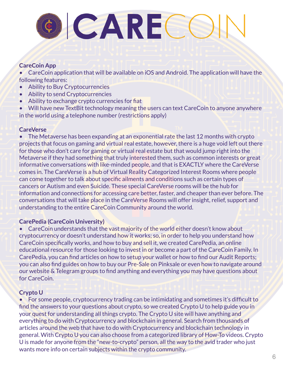# OCARECC

#### **CareCoin App**

• CareCoin application that will be available on iOS and Android. The application will have the following features:

- Ability to Buy Cryptocurrencies
- Ability to send Cryptocurrencies
- Ability to exchange crypto currencies for fiat

• Will have new TextBit technology meaning the users can text CareCoin to anyone anywhere in the world using a telephone number (restrictions apply)

#### **CareVerse**

• The Metaverse has been expanding at an exponential rate the last 12 months with crypto projects that focus on gaming and virtual real estate, however, there is a huge void left out there for those who don't care for gaming or virtual real estate but that would jump right into the Metaverse if they had something that truly interested them, such as common interests or great informative conversations with like-minded people, and that is EXACTLY where the CareVerse comes in. The CareVerse is a hub of Virtual Reality Categorized Interest Rooms where people can come together to talk about specific ailments and conditions such as certain types of cancers or Autism and even Suicide. These special CareVerse rooms will be the hub for information and connections for accessing care better, faster, and cheaper than ever before. The conversations that will take place in the CareVerse Rooms will offer insight, relief, support and understanding to the entire CareCoin Community around the world.

#### **CarePedia (CareCoin University)**

• CareCoin understands that the vast majority of the world either doesn't know about cryptocurrency or doesn't understand how it works; so, in order to help you understand how CareCoin specifically works, and how to buy and sell it, we created CarePedia, an online educational resource for those looking to invest in or become a part of the CareCoin Family. In CarePedia, you can find articles on how to setup your wallet or how to find our Audit Reports; you can also find guides on how to buy our Pre-Sale on Pinksale or even how to navigate around our website & Telegram groups to find anything and everything you may have questions about for CareCoin.

#### **Crypto U**

• For some people, cryptocurrency trading can be intimidating and sometimes it's difficult to find the answers to your questions about crypto, so we created Crypto U to help guide you in your quest for understanding all things crypto. The Crypto U site will have anything and everything to do with Cryptocurrency and blockchain in general. Search from thousands of articles around the web that have to do with Cryptocurrency and blockchain technology in general. With Crypto U you can also choose from a categorized library of How-To videos. Crypto U is made for anyone from the "new-to-crypto" person, all the way to the avid trader who just wants more info on certain subjects within the crypto community.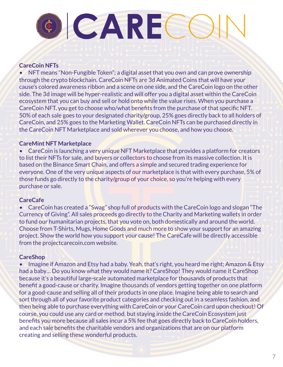# OCARECC

#### **CareCoin NFTs**

• NFT means "Non-Fungible Token"; a digital asset that you own and can prove ownership through the crypto blockchain. CareCoin NFTs are 3d Animated Coins that will have your cause's colored awareness ribbon and a scene on one side, and the CareCoin logo on the other side. The 3d image will be hyper-realistic and will offer you a digital asset within the CareCoin ecosystem that you can buy and sell or hold onto while the value rises. When you purchase a CareCoin NFT, you get to choose who/what benefits from the purchase of that specific NFT. 50% of each sale goes to your designated charity/group, 25% goes directly back to all holders of CareCoin, and 25% goes to the Marketing Wallet. CareCoin NFTs can be purchased directly in the CareCoin NFT Marketplace and sold wherever you choose, and how you choose.

#### **CareMint NFT Marketplace**

• CareCoin is launching a very unique NFT Marketplace that provides a platform for creators to list their NFTs for sale, and buyers or collectors to choose from its massive collection. It is based on the Binance Smart Chain, and offers a simple and secured trading experience for everyone. One of the very unique aspects of our marketplace is that with every purchase, 5% of those funds go directly to the charity/group of your choice, so you're helping with every purchase or sale.

#### **CareCafe**

• CareCoin has created a "Swag" shop full of products with the CareCoin logo and slogan "The Currency of Giving". All sales proceeds go directly to the Charity and Marketing wallets in order to fund our humanitarian projects, that you vote on, both domestically and around the world. Choose from T-Shirts, Mugs, Home Goods and much more to show your support for an amazing project. Show the world how you support your cause! The CareCafe will be directly accessible from the projectcarecoin.com website.

#### **CareShop**

• Imagine if Amazon and Etsy had a baby. Yeah, that's right, you heard me right; Amazon & Etsy had a baby… Do you know what they would name it? CareShop! They would name it CareShop because it's a beautiful large-scale automated marketplace for thousands of products that benefit a good-cause or charity. Imagine thousands of vendors getting together on one platform for a good-cause and selling all of their products in one place. Imagine being able to search and sort through all of your favorite product categories and checking out in a seamless fashion, and then being able to purchase everything with CareCoin or your CareCoin card upon checkout! Of course, you could use any card or method, but staying inside the CareCoin Ecosystem just benefits you more because all sales incur a 5% fee that goes directly back to CareCoin holders, and each sale benefits the charitable vendors and organizations that are on our platform creating and selling these wonderful products.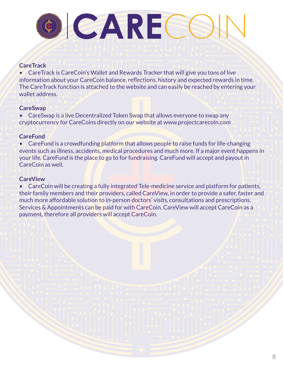#### **CareTrack**

• CareTrack is CareCoin's Wallet and Rewards Tracker that will give you tons of live information about your CareCoin balance, reflections, history and expected rewards in time. The CareTrack function is attached to the website and can easily be reached by entering your wallet address.

#### **CareSwap**

• CareSwap is a live Decentralized Token Swap that allows everyone to swap any cryptocurrency for CareCoins directly on our website at www.projectcarecoin.com

#### **CareFund**

• CareFund is a crowdfunding platform that allows people to raise funds for life-changing events such as illness, accidents, medical procedures and much more. If a major event happens in your life, CareFund is the place to go to for fundraising. CareFund will accept and payout in CareCoin as well.

#### **CareView**

• CareCoin will be creating a fully integrated Tele-medicine service and platform for patients, their family members and their providers, called CareView, in order to provide a safer, faster and much more affordable solution to in-person doctors' visits, consultations and prescriptions. Services & Appointments can be paid for with CareCoin. CareView will accept CareCoin as a payment, therefore all providers will accept CareCoin.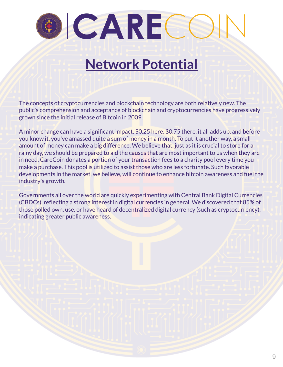## **Network Potential**

The concepts of cryptocurrencies and blockchain technology are both relatively new. The public's comprehension and acceptance of blockchain and cryptocurrencies have progressively grown since the initial release of Bitcoin in 2009.

A minor change can have a significant impact. \$0.25 here, \$0.75 there, it all adds up, and before you know it, you've amassed quite a sum of money in a month. To put it another way, a small amount of money can make a big difference. We believe that, just as it is crucial to store for a rainy day, we should be prepared to aid the causes that are most important to us when they are in need. CareCoin donates a portion of your transaction fees to a charity pool every time you make a purchase. This pool is utilized to assist those who are less fortunate. Such favorable developments in the market, we believe, will continue to enhance bitcoin awareness and fuel the industry's growth.

Governments all over the world are quickly experimenting with Central Bank Digital Currencies (CBDCs), reflecting a strong interest in digital currencies in general. We discovered that 85% of those polled own, use, or have heard of decentralized digital currency (such as cryptocurrency), indicating greater public awareness.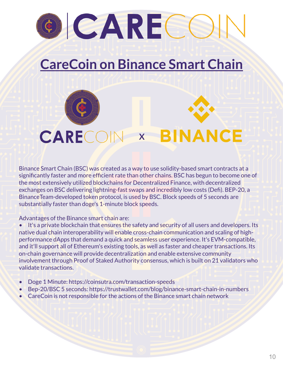## **CareCoin on Binance Smart Chain**

# CARECC **BINANCE X**

Binance Smart Chain (BSC) was created as a way to use solidity-based smart contracts at a significantly faster and more efficient rate than other chains. BSC has begun to become one of the most extensively utilized blockchains for Decentralized Finance, with decentralized exchanges on BSC delivering lightning-fast swaps and incredibly low costs (Defi). BEP-20, a BinanceTeam-developed token protocol, is used by BSC. Block speeds of 5 seconds are substantially faster than doge's 1-minute block speeds.

Advantages of the Binance smart chain are:

- It's a private blockchain that ensures the safety and security of all users and developers. Its native dual chain interoperability will enable cross-chain communication and scaling of highperformance dApps that demand a quick and seamless user experience. It's EVM-compatible, and it'll support all of Ethereum's existing tools, as well as faster and cheaper transactions. Its on-chain governance will provide decentralization and enable extensive community involvement through Proof of Staked Authority consensus, which is built on 21 validators who validate transactions.
- Doge 1 Minute: https://coinsutra.com/transaction-speeds
- Bep-20/BSC 5 seconds: https://trustwallet.com/blog/binance-smart-chain-in-numbers
- CareCoin is not responsible for the actions of the Binance smart chain network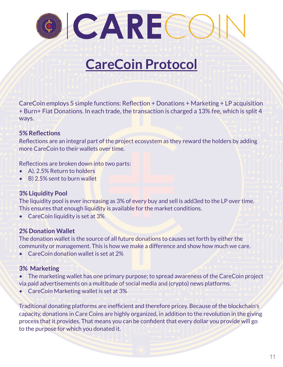## **CareCoin Protocol**

CareCoin employs 5 simple functions: Reflection + Donations + Marketing + LP acquisition + Burn+ Fiat Donations. In each trade, the transaction is charged a 13% fee, which is split 4 ways.

#### **5% Reflections**

Reflections are an integral part of the project ecosystem as they reward the holders by adding more CareCoin to their wallets over time.

Reflections are broken down into two parts:

- A). 2.5% Return to holders
- B) 2.5% sent to burn wallet

#### **3% Liquidity Pool**

The liquidity pool is ever increasing as 3% of every buy and sell is add3ed to the LP over time. This ensures that enough liquidity is available for the market conditions.

• CareCoin liquidity is set at 3%

#### **2% Donation Wallet**

The donation wallet is the source of all future donations to causes set forth by either the community or management. This is how we make a difference and show how much we care.

• CareCoin donation wallet is set at 2%

#### **3% Marketing**

- The marketing wallet has one primary purpose; to spread awareness of the CareCoin project via paid advertisements on a multitude of social media and (crypto) news platforms.
- CareCoin Marketing wallet is set at 3%

Traditional donating platforms are inefficient and therefore pricey. Because of the blockchain's capacity, donations in Care Coins are highly organized, in addition to the revolution in the giving process that it provides. That means you can be confident that every dollar you provide will go to the purpose for which you donated it.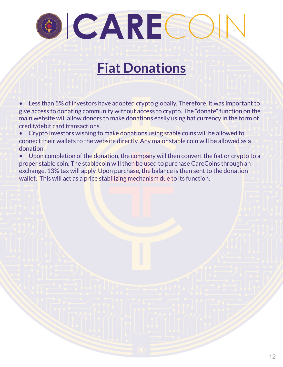## **Fiat Donations**

Less than 5% of investors have adopted crypto globally. Therefore, it was important to give access to donating community without access to crypto. The "donate" function on the main website will allow donors to make donations easily using fiat currency in the form of credit/debit card transactions.

• Crypto investors wishing to make donations using stable coins will be allowed to connect their wallets to the website directly. Any major stable coin will be allowed as a donation.

• Upon completion of the donation, the company will then convert the fiat or crypto to a proper stable coin. The stablecoin will then be used to purchase CareCoins through an exchange. 13% tax will apply. Upon purchase, the balance is then sent to the donation wallet. This will act as a price stabilizing mechanism due to its function.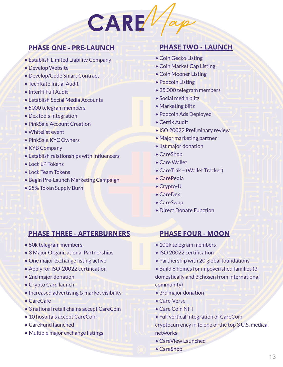

#### PHASE ONE - PRE-LAUNCH

- Establish Limited Liability Company
- Develop Website
- Develop/Code Smart Contract
- TechRate Initial Audit
- InterFi Full Audit
- Establish Social Media Accounts
- 5000 telegram members
- DexTools Integration
- PinkSale Account Creation
- Whitelist event
- PinkSale KYC Owners
- KYB Company
- Establish relationships with Influencers
- Lock LP Tokens
- Lock Team Tokens
- Begin Pre-Launch Marketing Campaign
- 25% Token Supply Burn

#### PHASE TWO - LAUNCH

- Coin Gecko Listing
- Coin Market Cap Listing
- Coin Mooner Listing
- Poocoin Listing
- 25,000 telegram members
- Social media blitz
- Marketing blitz
- Poocoin Ads Deployed
- Certik Audit
- ISO 20022 Preliminary review
- Major marketing partner
- 1st major donation
- CareShop
- Care Wallet
- CareTrak (Wallet Tracker)
- CarePedia
- Crypto-U
- CareDex
- CareSwap
- Direct Donate Function

#### PHASE THREE - AFTERBURNERS

- 50k telegram members
- 3 Major Organizational Partnerships
- One major exchange listing active
- Apply for ISO-20022 certification
- 2nd major donation
- Crypto Card launch
- Increased advertising & market visibility
- CareCafe
- 3 national retail chains accept CareCoin
- 10 hospitals accept CareCoin
- CareFund launched
- Multiple major exchange listings

#### PHASE FOUR - MOON

- 100k telegram members
- ISO 20022 certification
- Partnership with 20 global foundations
- Build 6 homes for impoverished families (3 domestically and 3 chosen from international community)
- 3rd major donation
- Care-Verse
- Care Coin NFT
- Full vertical integration of CareCoin

cryptocurrency in to one of the top 3 U.S. medical networks

- CareView Launched
- CareShop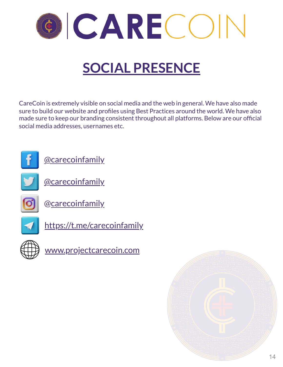

# **SOCIAL PRESENCE**

CareCoin is extremely visible on social media and the web in general. We have also made sure to build our website and profiles using Best Practices around the world. We have also made sure to keep our branding consistent throughout all platforms. Below are our official social media addresses, usernames etc.







[@carecoinfamily](https://twitter.com/carecoinfamily)



[@carecoinfamily](https://instagram.com/carecoinfamily)



<https://t.me/carecoinfamily>



[www.projectcarecoin.com](http://www.projectcarecoin.com/)

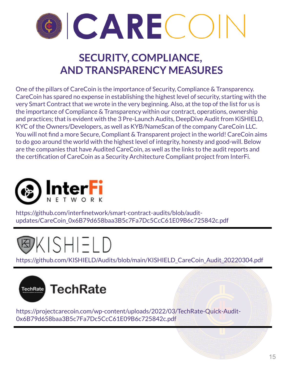

### **SECURITY, COMPLIANCE, AND TRANSPARENCY MEASURES**

One of the pillars of CareCoin is the importance of Security, Compliance & Transparency. CareCoin has spared no expense in establishing the highest level of security, starting with the very Smart Contract that we wrote in the very beginning. Also, at the top of the list for us is the importance of Compliance & Transparency within our contract, operations, ownership and practices; that is evident with the 3 Pre-Launch Audits, DeepDive Audit from KiSHIELD, KYC of the Owners/Developers, as well as KYB/NameScan of the company CareCoin LLC. You will not find a more Secure, Compliant & Transparent project in the world! CareCoin aims to do goo around the world with the highest level of integrity, honesty and good-will. Below are the companies that have Audited CareCoin, as well as the links to the audit reports and the certification of CareCoin as a Security Architecture Compliant project from InterFi.



https://github.com/interfinetwork/smart-contract-audits/blob/auditupdates/CareCoin\_0x6B79d658baa3B5c7Fa7Dc5CcC61E09B6c725842c.pdf



https://github.com/KISHIELD/Audits/blob/main/KISHIELD\_CareCoin\_Audit\_20220304.pdf



https://projectcarecoin.com/wp-content/uploads/2022/03/TechRate-Quick-Audit-0x6B79d658baa3B5c7Fa7Dc5CcC61E09B6c725842c.pdf